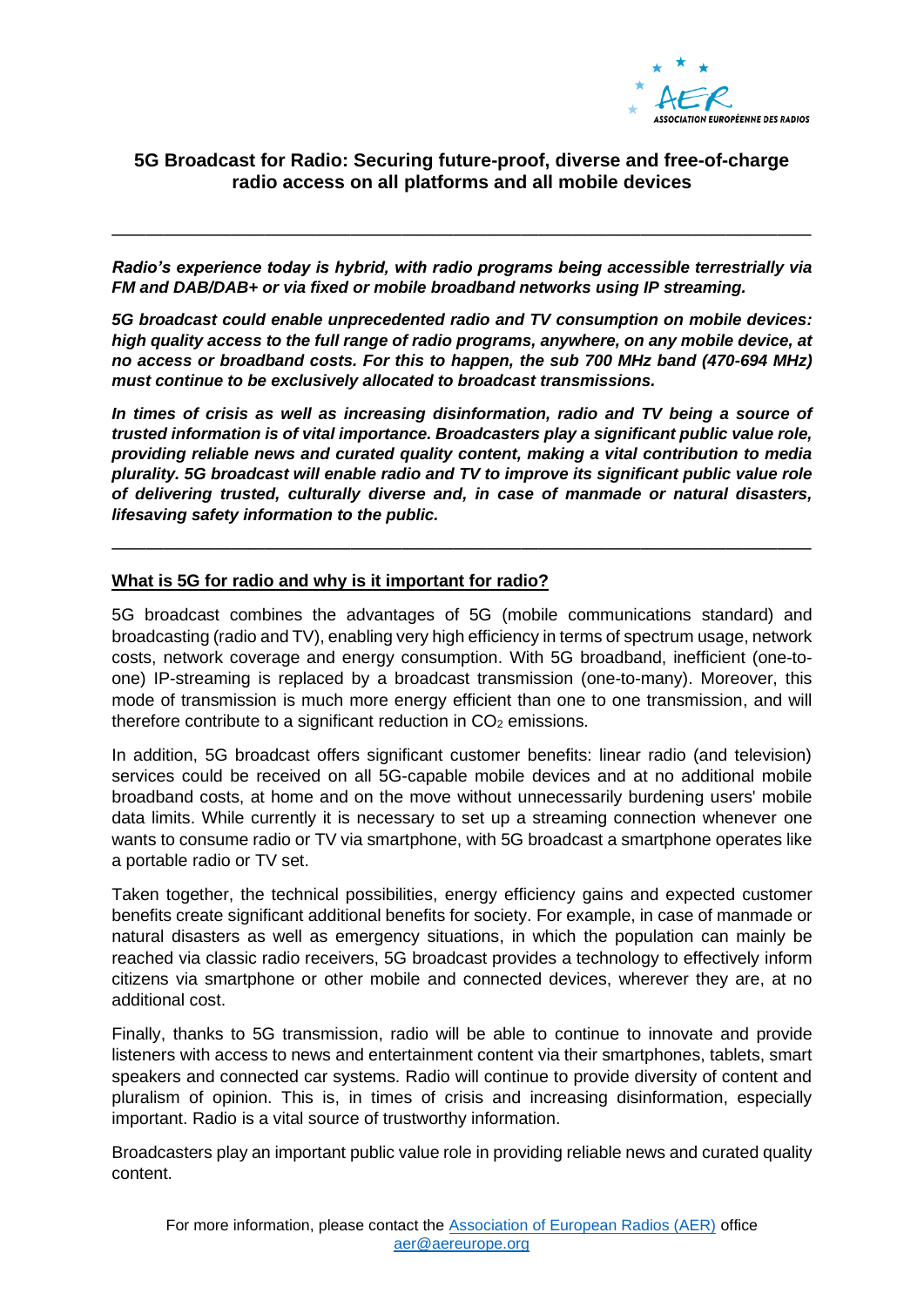

## **5G Broadcast for Radio: Securing future-proof, diverse and free-of-charge radio access on all platforms and all mobile devices**

*Radio's experience today is hybrid, with radio programs being accessible terrestrially via FM and DAB/DAB+ or via fixed or mobile broadband networks using IP streaming.* 

—————————————————————————————————————————

*5G broadcast could enable unprecedented radio and TV consumption on mobile devices: high quality access to the full range of radio programs, anywhere, on any mobile device, at no access or broadband costs. For this to happen, the sub 700 MHz band (470-694 MHz) must continue to be exclusively allocated to broadcast transmissions.*

*In times of crisis as well as increasing disinformation, radio and TV being a source of trusted information is of vital importance. Broadcasters play a significant public value role, providing reliable news and curated quality content, making a vital contribution to media plurality. 5G broadcast will enable radio and TV to improve its significant public value role of delivering trusted, culturally diverse and, in case of manmade or natural disasters, lifesaving safety information to the public.*

—————————————————————————————————————————

## **What is 5G for radio and why is it important for radio?**

5G broadcast combines the advantages of 5G (mobile communications standard) and broadcasting (radio and TV), enabling very high efficiency in terms of spectrum usage, network costs, network coverage and energy consumption. With 5G broadband, inefficient (one-toone) IP-streaming is replaced by a broadcast transmission (one-to-many). Moreover, this mode of transmission is much more energy efficient than one to one transmission, and will therefore contribute to a significant reduction in  $CO<sub>2</sub>$  emissions.

In addition, 5G broadcast offers significant customer benefits: linear radio (and television) services could be received on all 5G-capable mobile devices and at no additional mobile broadband costs, at home and on the move without unnecessarily burdening users' mobile data limits. While currently it is necessary to set up a streaming connection whenever one wants to consume radio or TV via smartphone, with 5G broadcast a smartphone operates like a portable radio or TV set.

Taken together, the technical possibilities, energy efficiency gains and expected customer benefits create significant additional benefits for society. For example, in case of manmade or natural disasters as well as emergency situations, in which the population can mainly be reached via classic radio receivers, 5G broadcast provides a technology to effectively inform citizens via smartphone or other mobile and connected devices, wherever they are, at no additional cost.

Finally, thanks to 5G transmission, radio will be able to continue to innovate and provide listeners with access to news and entertainment content via their smartphones, tablets, smart speakers and connected car systems. Radio will continue to provide diversity of content and pluralism of opinion. This is, in times of crisis and increasing disinformation, especially important. Radio is a vital source of trustworthy information.

Broadcasters play an important public value role in providing reliable news and curated quality content.